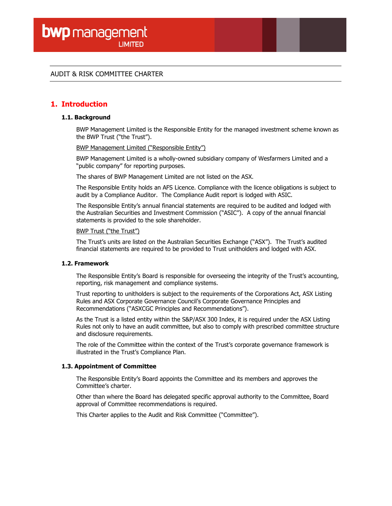## AUDIT & RISK COMMITTEE CHARTER

# 1. Introduction

#### 1.1. Background

BWP Management Limited is the Responsible Entity for the managed investment scheme known as the BWP Trust ("the Trust").

BWP Management Limited ("Responsible Entity")

BWP Management Limited is a wholly-owned subsidiary company of Wesfarmers Limited and a "public company" for reporting purposes.

The shares of BWP Management Limited are not listed on the ASX.

The Responsible Entity holds an AFS Licence. Compliance with the licence obligations is subject to audit by a Compliance Auditor. The Compliance Audit report is lodged with ASIC.

The Responsible Entity's annual financial statements are required to be audited and lodged with the Australian Securities and Investment Commission ("ASIC"). A copy of the annual financial statements is provided to the sole shareholder.

#### BWP Trust ("the Trust")

The Trust's units are listed on the Australian Securities Exchange ("ASX"). The Trust's audited financial statements are required to be provided to Trust unitholders and lodged with ASX.

#### 1.2. Framework

The Responsible Entity's Board is responsible for overseeing the integrity of the Trust's accounting, reporting, risk management and compliance systems.

Trust reporting to unitholders is subject to the requirements of the Corporations Act, ASX Listing Rules and ASX Corporate Governance Council's Corporate Governance Principles and Recommendations ("ASXCGC Principles and Recommendations").

As the Trust is a listed entity within the S&P/ASX 300 Index, it is required under the ASX Listing Rules not only to have an audit committee, but also to comply with prescribed committee structure and disclosure requirements.

The role of the Committee within the context of the Trust's corporate governance framework is illustrated in the Trust's Compliance Plan.

#### 1.3. Appointment of Committee

The Responsible Entity's Board appoints the Committee and its members and approves the Committee's charter.

Other than where the Board has delegated specific approval authority to the Committee, Board approval of Committee recommendations is required.

This Charter applies to the Audit and Risk Committee ("Committee").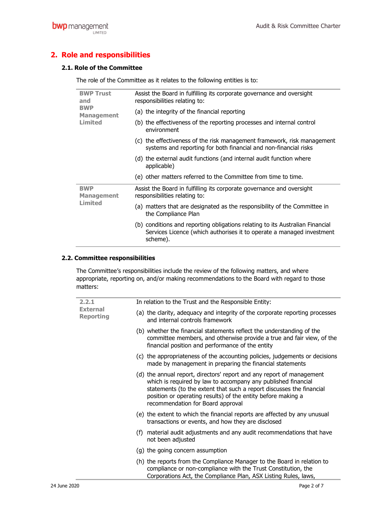# 2. Role and responsibilities

## 2.1. Role of the Committee

The role of the Committee as it relates to the following entities is to:

| <b>BWP Trust</b><br>and<br><b>BWP</b><br><b>Management</b><br>Limited | Assist the Board in fulfilling its corporate governance and oversight<br>responsibilities relating to:                                                             |
|-----------------------------------------------------------------------|--------------------------------------------------------------------------------------------------------------------------------------------------------------------|
|                                                                       | (a) the integrity of the financial reporting                                                                                                                       |
|                                                                       | (b) the effectiveness of the reporting processes and internal control<br>environment                                                                               |
|                                                                       | (c) the effectiveness of the risk management framework, risk management<br>systems and reporting for both financial and non-financial risks                        |
|                                                                       | (d) the external audit functions (and internal audit function where<br>applicable)                                                                                 |
|                                                                       | (e) other matters referred to the Committee from time to time.                                                                                                     |
| <b>BWP</b><br><b>Management</b><br>Limited                            | Assist the Board in fulfilling its corporate governance and oversight<br>responsibilities relating to:                                                             |
|                                                                       | (a) matters that are designated as the responsibility of the Committee in<br>the Compliance Plan                                                                   |
|                                                                       | (b) conditions and reporting obligations relating to its Australian Financial<br>Services Licence (which authorises it to operate a managed investment<br>scheme). |

### 2.2. Committee responsibilities

The Committee's responsibilities include the review of the following matters, and where appropriate, reporting on, and/or making recommendations to the Board with regard to those matters:

| 2.2.1<br><b>External</b><br><b>Reporting</b> | In relation to the Trust and the Responsible Entity:                                                                                                                                                                                                                                                                |
|----------------------------------------------|---------------------------------------------------------------------------------------------------------------------------------------------------------------------------------------------------------------------------------------------------------------------------------------------------------------------|
|                                              | (a) the clarity, adequacy and integrity of the corporate reporting processes<br>and internal controls framework                                                                                                                                                                                                     |
|                                              | (b) whether the financial statements reflect the understanding of the<br>committee members, and otherwise provide a true and fair view, of the<br>financial position and performance of the entity                                                                                                                  |
|                                              | (c) the appropriateness of the accounting policies, judgements or decisions<br>made by management in preparing the financial statements                                                                                                                                                                             |
|                                              | (d) the annual report, directors' report and any report of management<br>which is required by law to accompany any published financial<br>statements (to the extent that such a report discusses the financial<br>position or operating results) of the entity before making a<br>recommendation for Board approval |
|                                              | (e) the extent to which the financial reports are affected by any unusual<br>transactions or events, and how they are disclosed                                                                                                                                                                                     |
|                                              | (f) material audit adjustments and any audit recommendations that have<br>not been adjusted                                                                                                                                                                                                                         |
|                                              | (g) the going concern assumption                                                                                                                                                                                                                                                                                    |
|                                              | (h) the reports from the Compliance Manager to the Board in relation to<br>compliance or non-compliance with the Trust Constitution, the<br>Corporations Act, the Compliance Plan, ASX Listing Rules, laws,                                                                                                         |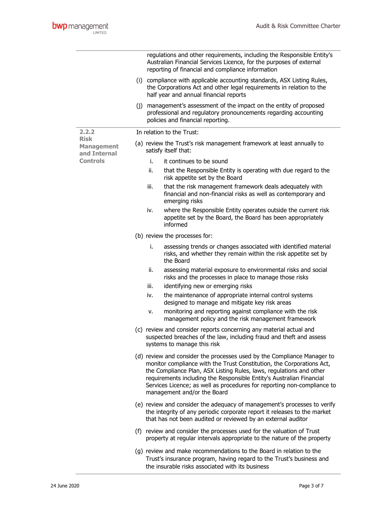|                                   |                               | regulations and other requirements, including the Responsible Entity's<br>Australian Financial Services Licence, for the purposes of external<br>reporting of financial and compliance information                                                                                                                                                                                                        |  |  |  |
|-----------------------------------|-------------------------------|-----------------------------------------------------------------------------------------------------------------------------------------------------------------------------------------------------------------------------------------------------------------------------------------------------------------------------------------------------------------------------------------------------------|--|--|--|
|                                   |                               | (i) compliance with applicable accounting standards, ASX Listing Rules,<br>the Corporations Act and other legal requirements in relation to the<br>half year and annual financial reports                                                                                                                                                                                                                 |  |  |  |
|                                   | (i)                           | management's assessment of the impact on the entity of proposed<br>professional and regulatory pronouncements regarding accounting<br>policies and financial reporting.                                                                                                                                                                                                                                   |  |  |  |
| 2.2.2<br><b>Risk</b>              |                               | In relation to the Trust:                                                                                                                                                                                                                                                                                                                                                                                 |  |  |  |
| <b>Management</b><br>and Internal |                               | (a) review the Trust's risk management framework at least annually to<br>satisfy itself that:                                                                                                                                                                                                                                                                                                             |  |  |  |
| <b>Controls</b>                   | i.                            | it continues to be sound                                                                                                                                                                                                                                                                                                                                                                                  |  |  |  |
|                                   | ii.                           | that the Responsible Entity is operating with due regard to the<br>risk appetite set by the Board                                                                                                                                                                                                                                                                                                         |  |  |  |
|                                   | iii.                          | that the risk management framework deals adequately with<br>financial and non-financial risks as well as contemporary and<br>emerging risks                                                                                                                                                                                                                                                               |  |  |  |
|                                   | iv.                           | where the Responsible Entity operates outside the current risk<br>appetite set by the Board, the Board has been appropriately<br>informed                                                                                                                                                                                                                                                                 |  |  |  |
|                                   | (b) review the processes for: |                                                                                                                                                                                                                                                                                                                                                                                                           |  |  |  |
|                                   | i.                            | assessing trends or changes associated with identified material<br>risks, and whether they remain within the risk appetite set by<br>the Board                                                                                                                                                                                                                                                            |  |  |  |
|                                   | ii.                           | assessing material exposure to environmental risks and social<br>risks and the processes in place to manage those risks                                                                                                                                                                                                                                                                                   |  |  |  |
|                                   | iii.                          | identifying new or emerging risks                                                                                                                                                                                                                                                                                                                                                                         |  |  |  |
|                                   | iv.                           | the maintenance of appropriate internal control systems<br>designed to manage and mitigate key risk areas                                                                                                                                                                                                                                                                                                 |  |  |  |
|                                   | ٧.                            | monitoring and reporting against compliance with the risk<br>management policy and the risk management framework                                                                                                                                                                                                                                                                                          |  |  |  |
|                                   |                               | (c) review and consider reports concerning any material actual and<br>suspected breaches of the law, including fraud and theft and assess<br>systems to manage this risk                                                                                                                                                                                                                                  |  |  |  |
|                                   |                               | (d) review and consider the processes used by the Compliance Manager to<br>monitor compliance with the Trust Constitution, the Corporations Act,<br>the Compliance Plan, ASX Listing Rules, laws, regulations and other<br>requirements including the Responsible Entity's Australian Financial<br>Services Licence; as well as procedures for reporting non-compliance to<br>management and/or the Board |  |  |  |
|                                   |                               | (e) review and consider the adequacy of management's processes to verify<br>the integrity of any periodic corporate report it releases to the market<br>that has not been audited or reviewed by an external auditor                                                                                                                                                                                      |  |  |  |
|                                   |                               | (f) review and consider the processes used for the valuation of Trust<br>property at regular intervals appropriate to the nature of the property                                                                                                                                                                                                                                                          |  |  |  |
|                                   |                               | (g) review and make recommendations to the Board in relation to the<br>Trust's insurance program, having regard to the Trust's business and                                                                                                                                                                                                                                                               |  |  |  |

the insurable risks associated with its business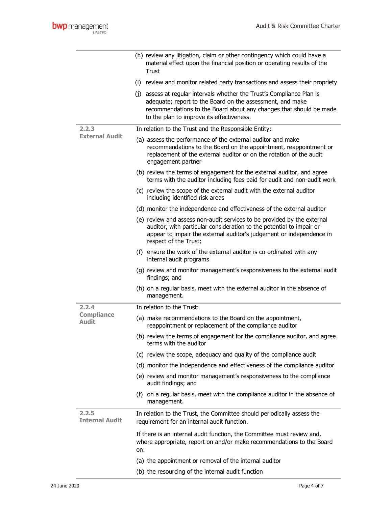|                                | (h) review any litigation, claim or other contingency which could have a<br>material effect upon the financial position or operating results of the<br>Trust                                                                                           |
|--------------------------------|--------------------------------------------------------------------------------------------------------------------------------------------------------------------------------------------------------------------------------------------------------|
|                                | (i) review and monitor related party transactions and assess their propriety                                                                                                                                                                           |
|                                | (j) assess at regular intervals whether the Trust's Compliance Plan is<br>adequate; report to the Board on the assessment, and make<br>recommendations to the Board about any changes that should be made<br>to the plan to improve its effectiveness. |
| 2.2.3                          | In relation to the Trust and the Responsible Entity:                                                                                                                                                                                                   |
| <b>External Audit</b>          | (a) assess the performance of the external auditor and make<br>recommendations to the Board on the appointment, reappointment or<br>replacement of the external auditor or on the rotation of the audit<br>engagement partner                          |
|                                | (b) review the terms of engagement for the external auditor, and agree<br>terms with the auditor including fees paid for audit and non-audit work                                                                                                      |
|                                | (c) review the scope of the external audit with the external auditor<br>including identified risk areas                                                                                                                                                |
|                                | (d) monitor the independence and effectiveness of the external auditor                                                                                                                                                                                 |
|                                | (e) review and assess non-audit services to be provided by the external<br>auditor, with particular consideration to the potential to impair or<br>appear to impair the external auditor's judgement or independence in<br>respect of the Trust;       |
|                                | (f) ensure the work of the external auditor is co-ordinated with any<br>internal audit programs                                                                                                                                                        |
|                                | (g) review and monitor management's responsiveness to the external audit<br>findings; and                                                                                                                                                              |
|                                | (h) on a regular basis, meet with the external auditor in the absence of<br>management.                                                                                                                                                                |
| 2.2.4                          | In relation to the Trust:                                                                                                                                                                                                                              |
| <b>Compliance</b><br>Audit     | (a) make recommendations to the Board on the appointment,<br>reappointment or replacement of the compliance auditor                                                                                                                                    |
|                                | (b) review the terms of engagement for the compliance auditor, and agree<br>terms with the auditor                                                                                                                                                     |
|                                | (c) review the scope, adequacy and quality of the compliance audit                                                                                                                                                                                     |
|                                | (d) monitor the independence and effectiveness of the compliance auditor                                                                                                                                                                               |
|                                | (e) review and monitor management's responsiveness to the compliance<br>audit findings; and                                                                                                                                                            |
|                                | (f) on a regular basis, meet with the compliance auditor in the absence of<br>management.                                                                                                                                                              |
| 2.2.5<br><b>Internal Audit</b> | In relation to the Trust, the Committee should periodically assess the<br>requirement for an internal audit function.                                                                                                                                  |
|                                | If there is an internal audit function, the Committee must review and,<br>where appropriate, report on and/or make recommendations to the Board<br>on:                                                                                                 |
|                                | (a) the appointment or removal of the internal auditor                                                                                                                                                                                                 |
|                                | (b) the resourcing of the internal audit function                                                                                                                                                                                                      |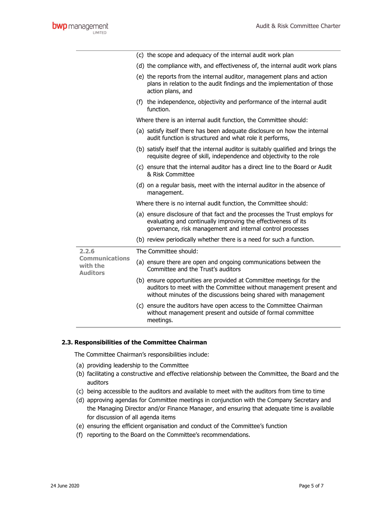|                                                      | (c) the scope and adequacy of the internal audit work plan                                                                                                                                                   |
|------------------------------------------------------|--------------------------------------------------------------------------------------------------------------------------------------------------------------------------------------------------------------|
|                                                      | (d) the compliance with, and effectiveness of, the internal audit work plans                                                                                                                                 |
|                                                      | (e) the reports from the internal auditor, management plans and action<br>plans in relation to the audit findings and the implementation of those<br>action plans, and                                       |
|                                                      | (f) the independence, objectivity and performance of the internal audit<br>function.                                                                                                                         |
|                                                      | Where there is an internal audit function, the Committee should:                                                                                                                                             |
|                                                      | (a) satisfy itself there has been adequate disclosure on how the internal<br>audit function is structured and what role it performs,                                                                         |
|                                                      | (b) satisfy itself that the internal auditor is suitably qualified and brings the<br>requisite degree of skill, independence and objectivity to the role                                                     |
|                                                      | (c) ensure that the internal auditor has a direct line to the Board or Audit<br>& Risk Committee                                                                                                             |
|                                                      | (d) on a regular basis, meet with the internal auditor in the absence of<br>management.                                                                                                                      |
|                                                      | Where there is no internal audit function, the Committee should:                                                                                                                                             |
|                                                      | (a) ensure disclosure of that fact and the processes the Trust employs for<br>evaluating and continually improving the effectiveness of its<br>governance, risk management and internal control processes    |
|                                                      | (b) review periodically whether there is a need for such a function.                                                                                                                                         |
| 2.2.6                                                | The Committee should:                                                                                                                                                                                        |
| <b>Communications</b><br>with the<br><b>Auditors</b> | (a) ensure there are open and ongoing communications between the<br>Committee and the Trust's auditors                                                                                                       |
|                                                      | (b) ensure opportunities are provided at Committee meetings for the<br>auditors to meet with the Committee without management present and<br>without minutes of the discussions being shared with management |
|                                                      | (c) ensure the auditors have open access to the Committee Chairman<br>without management present and outside of formal committee<br>meetings.                                                                |

#### 2.3. Responsibilities of the Committee Chairman

The Committee Chairman's responsibilities include:

- (a) providing leadership to the Committee
- (b) facilitating a constructive and effective relationship between the Committee, the Board and the auditors
- (c) being accessible to the auditors and available to meet with the auditors from time to time
- (d) approving agendas for Committee meetings in conjunction with the Company Secretary and the Managing Director and/or Finance Manager, and ensuring that adequate time is available for discussion of all agenda items
- (e) ensuring the efficient organisation and conduct of the Committee's function
- (f) reporting to the Board on the Committee's recommendations.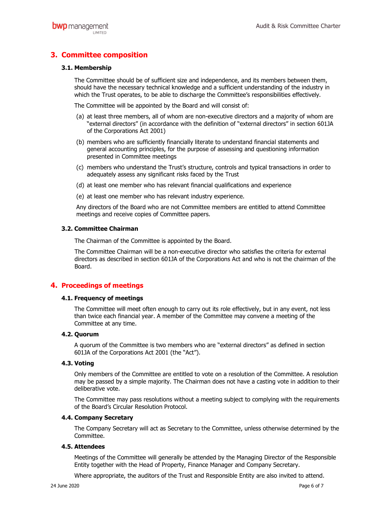# 3. Committee composition

#### 3.1. Membership

The Committee should be of sufficient size and independence, and its members between them, should have the necessary technical knowledge and a sufficient understanding of the industry in which the Trust operates, to be able to discharge the Committee's responsibilities effectively.

The Committee will be appointed by the Board and will consist of:

- (a) at least three members, all of whom are non-executive directors and a majority of whom are "external directors" (in accordance with the definition of "external directors" in section 601JA of the Corporations Act 2001)
- (b) members who are sufficiently financially literate to understand financial statements and general accounting principles, for the purpose of assessing and questioning information presented in Committee meetings
- (c) members who understand the Trust's structure, controls and typical transactions in order to adequately assess any significant risks faced by the Trust
- (d) at least one member who has relevant financial qualifications and experience
- (e) at least one member who has relevant industry experience.

Any directors of the Board who are not Committee members are entitled to attend Committee meetings and receive copies of Committee papers.

#### 3.2. Committee Chairman

The Chairman of the Committee is appointed by the Board.

The Committee Chairman will be a non-executive director who satisfies the criteria for external directors as described in section 601JA of the Corporations Act and who is not the chairman of the Board.

## 4. Proceedings of meetings

#### 4.1. Frequency of meetings

The Committee will meet often enough to carry out its role effectively, but in any event, not less than twice each financial year. A member of the Committee may convene a meeting of the Committee at any time.

#### 4.2. Quorum

A quorum of the Committee is two members who are "external directors" as defined in section 601JA of the Corporations Act 2001 (the "Act").

#### 4.3. Voting

Only members of the Committee are entitled to vote on a resolution of the Committee. A resolution may be passed by a simple majority. The Chairman does not have a casting vote in addition to their deliberative vote.

The Committee may pass resolutions without a meeting subject to complying with the requirements of the Board's Circular Resolution Protocol.

#### 4.4. Company Secretary

The Company Secretary will act as Secretary to the Committee, unless otherwise determined by the Committee.

#### 4.5. Attendees

Meetings of the Committee will generally be attended by the Managing Director of the Responsible Entity together with the Head of Property, Finance Manager and Company Secretary.

Where appropriate, the auditors of the Trust and Responsible Entity are also invited to attend.